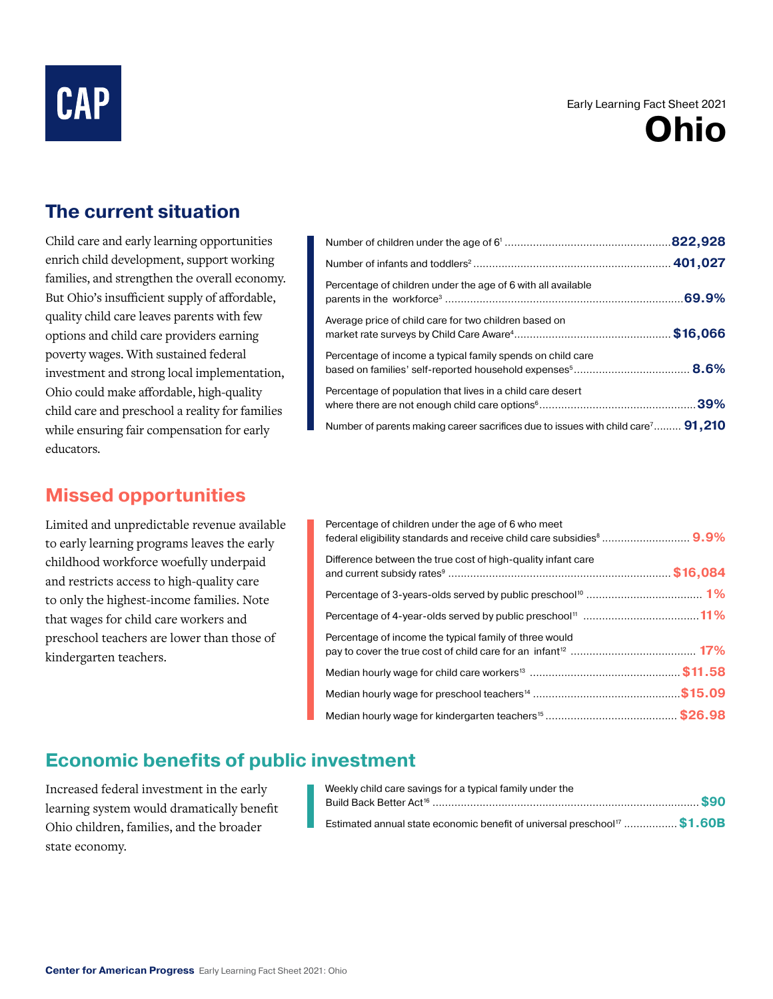# **CAP**

#### Early Learning Fact Sheet 2021



### **The current situation**

Child care and early learning opportunities enrich child development, support working families, and strengthen the overall economy. But Ohio's insufficient supply of affordable, quality child care leaves parents with few options and child care providers earning poverty wages. With sustained federal investment and strong local implementation, Ohio could make affordable, high-quality child care and preschool a reality for families while ensuring fair compensation for early educators.

#### **Missed opportunities**

Limited and unpredictable revenue available to early learning programs leaves the early childhood workforce woefully underpaid and restricts access to high-quality care to only the highest-income families. Note that wages for child care workers and preschool teachers are lower than those of kindergarten teachers.

| Percentage of children under the age of 6 with all available                                        |  |
|-----------------------------------------------------------------------------------------------------|--|
| Average price of child care for two children based on                                               |  |
| Percentage of income a typical family spends on child care                                          |  |
| Percentage of population that lives in a child care desert                                          |  |
| Number of parents making career sacrifices due to issues with child care <sup>7</sup> <b>91,210</b> |  |

| Percentage of children under the age of 6 who meet           |  |
|--------------------------------------------------------------|--|
| Difference between the true cost of high-quality infant care |  |
|                                                              |  |
|                                                              |  |
| Percentage of income the typical family of three would       |  |
|                                                              |  |
|                                                              |  |
|                                                              |  |

## **Economic benefits of public investment**

Increased federal investment in the early learning system would dramatically benefit Ohio children, families, and the broader state economy.

| Weekly child care savings for a typical family under the                                    |
|---------------------------------------------------------------------------------------------|
|                                                                                             |
|                                                                                             |
| <b>Estimated annual state economic benefit of universal preschool</b> <sup>17</sup> \$1.60B |